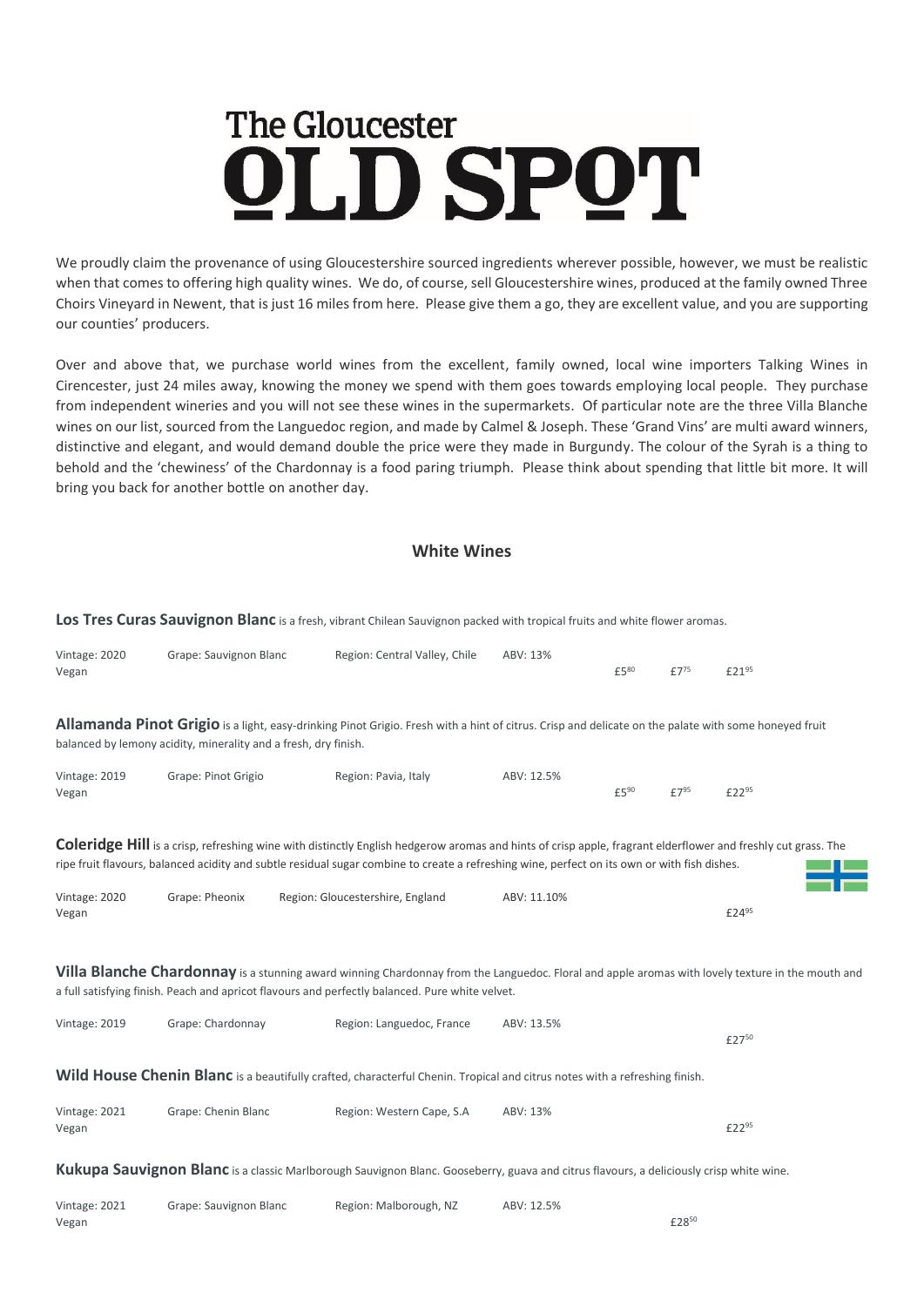## **The Gloucester** OLD SPOT

We proudly claim the provenance of using Gloucestershire sourced ingredients wherever possible, however, we must be realistic when that comes to offering high quality wines. We do, of course, sell Gloucestershire wines, produced at the family owned Three Choirs Vineyard in Newent, that is just 16 miles from here. Please give them a go, they are excellent value, and you are supporting our counties' producers.

Over and above that, we purchase world wines from the excellent, family owned, local wine importers Talking Wines in Cirencester, just 24 miles away, knowing the money we spend with them goes towards employing local people. They purchase from independent wineries and you will not see these wines in the supermarkets. Of particular note are the three Villa Blanche wines on our list, sourced from the Languedoc region, and made by Calmel & Joseph. These 'Grand Vins' are multi award winners, distinctive and elegant, and would demand double the price were they made in Burgundy. The colour of the Syrah is a thing to behold and the 'chewiness' of the Chardonnay is a food paring triumph. Please think about spending that little bit more. It will bring you back for another bottle on another day.

## **White Wines**

**Los Tres Curas Sauvignon Blanc** is a fresh, vibrant Chilean Sauvignon packed with tropical fruits and white flower aromas.

| Vintage: 2020<br>Vegan                                                                                                                                                                                                                                                                                              | Grape: Sauvignon Blanc | Region: Central Valley, Chile    | ABV: 13%    | £580 | £7 <sup>75</sup> | £2195             |  |  |  |  |  |
|---------------------------------------------------------------------------------------------------------------------------------------------------------------------------------------------------------------------------------------------------------------------------------------------------------------------|------------------------|----------------------------------|-------------|------|------------------|-------------------|--|--|--|--|--|
| Allamanda Pinot Grigio is a light, easy-drinking Pinot Grigio. Fresh with a hint of citrus. Crisp and delicate on the palate with some honeyed fruit<br>balanced by lemony acidity, minerality and a fresh, dry finish.                                                                                             |                        |                                  |             |      |                  |                   |  |  |  |  |  |
| Vintage: 2019<br>Vegan                                                                                                                                                                                                                                                                                              | Grape: Pinot Grigio    | Region: Pavia, Italy             | ABV: 12.5%  | £590 | £7 <sup>95</sup> | £22 <sup>95</sup> |  |  |  |  |  |
| <b>Coleridge Hill</b> is a crisp, refreshing wine with distinctly English hedgerow aromas and hints of crisp apple, fragrant elderflower and freshly cut grass. The<br>ripe fruit flavours, balanced acidity and subtle residual sugar combine to create a refreshing wine, perfect on its own or with fish dishes. |                        |                                  |             |      |                  |                   |  |  |  |  |  |
| Vintage: 2020<br>Vegan                                                                                                                                                                                                                                                                                              | Grape: Pheonix         | Region: Gloucestershire, England | ABV: 11.10% |      |                  | £24 <sup>95</sup> |  |  |  |  |  |
| Villa Blanche Chardonnay is a stunning award winning Chardonnay from the Languedoc. Floral and apple aromas with lovely texture in the mouth and<br>a full satisfying finish. Peach and apricot flavours and perfectly balanced. Pure white velvet.                                                                 |                        |                                  |             |      |                  |                   |  |  |  |  |  |
| Vintage: 2019                                                                                                                                                                                                                                                                                                       | Grape: Chardonnay      | Region: Languedoc, France        | ABV: 13.5%  |      |                  | £2750             |  |  |  |  |  |
| <b>Wild House Chenin Blanc</b> is a beautifully crafted, characterful Chenin. Tropical and citrus notes with a refreshing finish.                                                                                                                                                                                   |                        |                                  |             |      |                  |                   |  |  |  |  |  |
| Vintage: 2021<br>Vegan                                                                                                                                                                                                                                                                                              | Grape: Chenin Blanc    | Region: Western Cape, S.A        | ABV: 13%    |      |                  | £22 <sup>95</sup> |  |  |  |  |  |
| <b>Kukupa Sauvignon Blanc</b> is a classic Marlborough Sauvignon Blanc. Gooseberry, guava and citrus flavours, a deliciously crisp white wine.                                                                                                                                                                      |                        |                                  |             |      |                  |                   |  |  |  |  |  |
| Vintage: 2021<br>Vegan                                                                                                                                                                                                                                                                                              | Grape: Sauvignon Blanc | Region: Malborough, NZ           | ABV: 12.5%  |      | £2850            |                   |  |  |  |  |  |